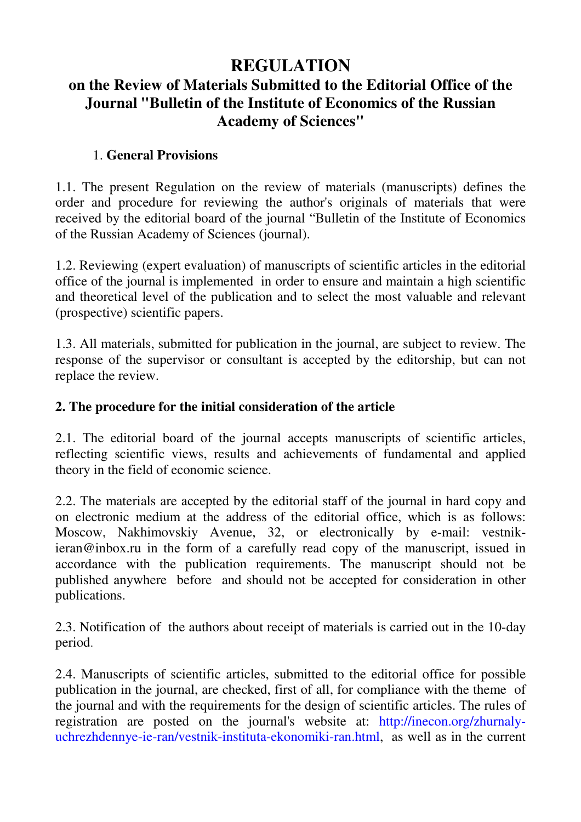## **REGULATION**

# **on the Review of Materials Submitted to the Editorial Office of the Journal "Bulletin of the Institute of Economics of the Russian Academy of Sciences"**

#### 1. **General Provisions**

1.1. The present Regulation on the review of materials (manuscripts) defines the order and procedure for reviewing the author's originals of materials that were received by the editorial board of the journal "Bulletin of the Institute of Economics of the Russian Academy of Sciences (journal).

1.2. Reviewing (expert evaluation) of manuscripts of scientific articles in the editorial office of the journal is implemented in order to ensure and maintain a high scientific and theoretical level of the publication and to select the most valuable and relevant (prospective) scientific papers.

1.3. All materials, submitted for publication in the journal, are subject to review. The response of the supervisor or consultant is accepted by the editorship, but can not replace the review.

#### **2. The procedure for the initial consideration of the article**

2.1. The editorial board of the journal accepts manuscripts of scientific articles, reflecting scientific views, results and achievements of fundamental and applied theory in the field of economic science.

2.2. The materials are accepted by the editorial staff of the journal in hard copy and on electronic medium at the address of the editorial office, which is as follows: Moscow, Nakhimovskiy Avenue, 32, or electronically by e-mail: vestnikieran@inbox.ru in the form of a carefully read copy of the manuscript, issued in accordance with the publication requirements. The manuscript should not be published anywhere before and should not be accepted for consideration in other publications.

2.3. Notification of the authors about receipt of materials is carried out in the 10-day period.

2.4. Manuscripts of scientific articles, submitted to the editorial office for possible publication in the journal, are checked, first of all, for compliance with the theme of the journal and with the requirements for the design of scientific articles. The rules of registration are posted on the journal's website at: http://inecon.org/zhurnalyuchrezhdennye-ie-ran/vestnik-instituta-ekonomiki-ran.html, as well as in the current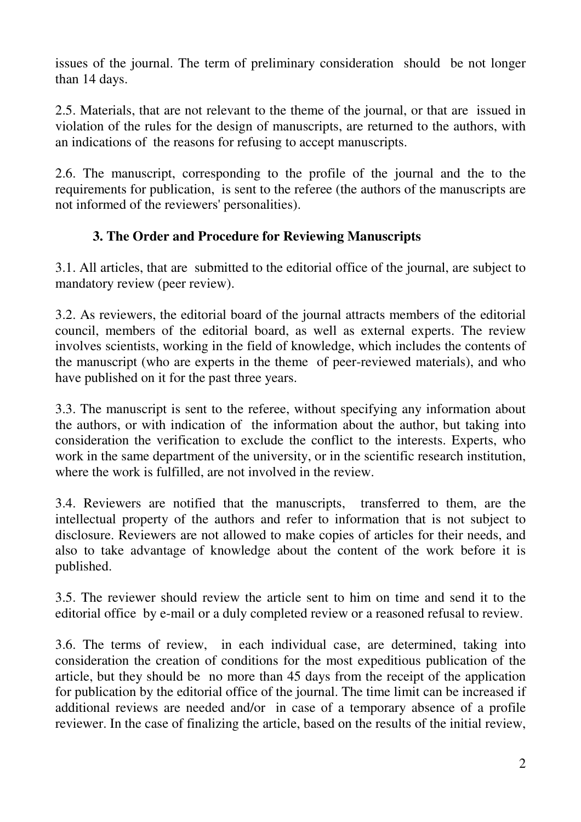issues of the journal. The term of preliminary consideration should be not longer than 14 days.

2.5. Materials, that are not relevant to the theme of the journal, or that are issued in violation of the rules for the design of manuscripts, are returned to the authors, with an indications of the reasons for refusing to accept manuscripts.

2.6. The manuscript, corresponding to the profile of the journal and the to the requirements for publication, is sent to the referee (the authors of the manuscripts are not informed of the reviewers' personalities).

### **3. The Order and Procedure for Reviewing Manuscripts**

3.1. All articles, that are submitted to the editorial office of the journal, are subject to mandatory review (peer review).

3.2. As reviewers, the editorial board of the journal attracts members of the editorial council, members of the editorial board, as well as external experts. The review involves scientists, working in the field of knowledge, which includes the contents of the manuscript (who are experts in the theme of peer-reviewed materials), and who have published on it for the past three years.

3.3. The manuscript is sent to the referee, without specifying any information about the authors, or with indication of the information about the author, but taking into consideration the verification to exclude the conflict to the interests. Experts, who work in the same department of the university, or in the scientific research institution. where the work is fulfilled, are not involved in the review.

3.4. Reviewers are notified that the manuscripts, transferred to them, are the intellectual property of the authors and refer to information that is not subject to disclosure. Reviewers are not allowed to make copies of articles for their needs, and also to take advantage of knowledge about the content of the work before it is published.

3.5. The reviewer should review the article sent to him on time and send it to the editorial office by e-mail or a duly completed review or a reasoned refusal to review.

3.6. The terms of review, in each individual case, are determined, taking into consideration the creation of conditions for the most expeditious publication of the article, but they should be no more than 45 days from the receipt of the application for publication by the editorial office of the journal. The time limit can be increased if additional reviews are needed and/or in case of a temporary absence of a profile reviewer. In the case of finalizing the article, based on the results of the initial review,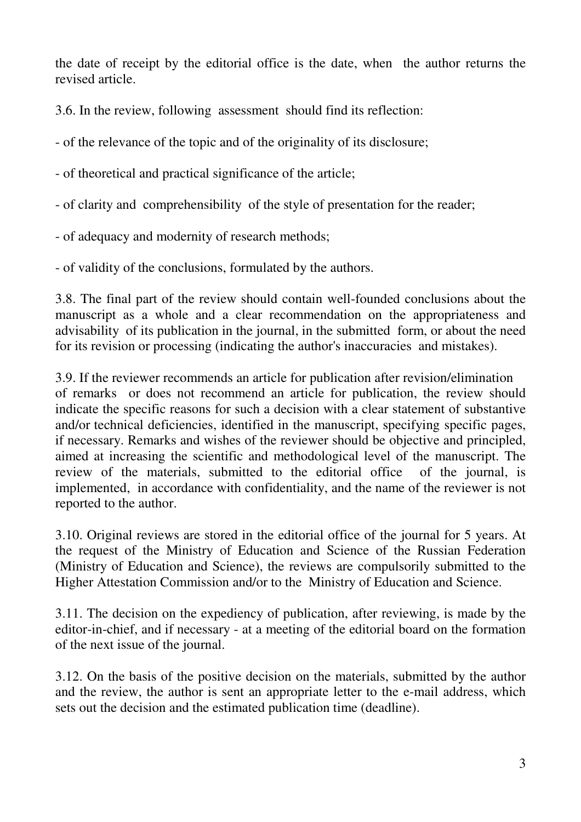the date of receipt by the editorial office is the date, when the author returns the revised article.

3.6. In the review, following assessment should find its reflection:

- of the relevance of the topic and of the originality of its disclosure;

- of theoretical and practical significance of the article;

- of clarity and comprehensibility of the style of presentation for the reader;

- of adequacy and modernity of research methods;

- of validity of the conclusions, formulated by the authors.

3.8. The final part of the review should contain well-founded conclusions about the manuscript as a whole and a clear recommendation on the appropriateness and advisability of its publication in the journal, in the submitted form, or about the need for its revision or processing (indicating the author's inaccuracies and mistakes).

3.9. If the reviewer recommends an article for publication after revision/elimination of remarks or does not recommend an article for publication, the review should indicate the specific reasons for such a decision with a clear statement of substantive and/or technical deficiencies, identified in the manuscript, specifying specific pages, if necessary. Remarks and wishes of the reviewer should be objective and principled, aimed at increasing the scientific and methodological level of the manuscript. The review of the materials, submitted to the editorial office of the journal, is implemented, in accordance with confidentiality, and the name of the reviewer is not reported to the author.

3.10. Original reviews are stored in the editorial office of the journal for 5 years. At the request of the Ministry of Education and Science of the Russian Federation (Ministry of Education and Science), the reviews are compulsorily submitted to the Higher Attestation Commission and/or to the Ministry of Education and Science.

3.11. The decision on the expediency of publication, after reviewing, is made by the editor-in-chief, and if necessary - at a meeting of the editorial board on the formation of the next issue of the journal.

3.12. On the basis of the positive decision on the materials, submitted by the author and the review, the author is sent an appropriate letter to the e-mail address, which sets out the decision and the estimated publication time (deadline).